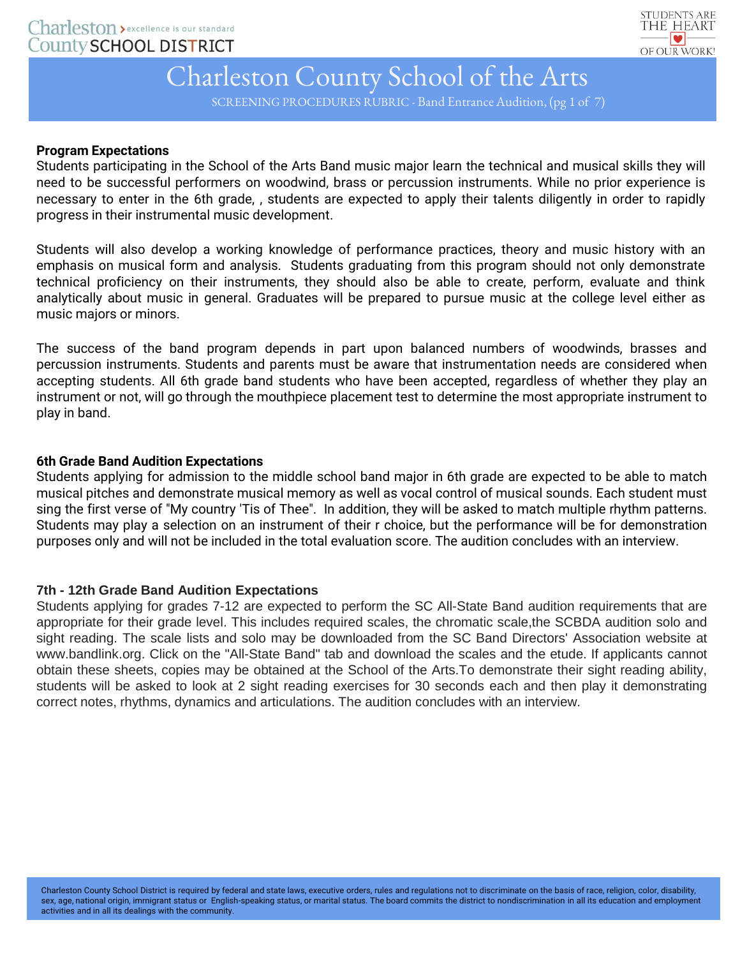

SCREENING PROCEDURES RUBRIC - Band Entrance Audition, (pg 1 of 7)

## **Program Expectations**

Students participating in the School of the Arts Band music major learn the technical and musical skills they will need to be successful performers on woodwind, brass or percussion instruments. While no prior experience is necessary to enter in the 6th grade, , students are expected to apply their talents diligently in order to rapidly progress in their instrumental music development.

Students will also develop a working knowledge of performance practices, theory and music history with an emphasis on musical form and analysis. Students graduating from this program should not only demonstrate technical proficiency on their instruments, they should also be able to create, perform, evaluate and think analytically about music in general. Graduates will be prepared to pursue music at the college level either as music majors or minors.

The success of the band program depends in part upon balanced numbers of woodwinds, brasses and percussion instruments. Students and parents must be aware that instrumentation needs are considered when accepting students. All 6th grade band students who have been accepted, regardless of whether they play an instrument or not, will go through the mouthpiece placement test to determine the most appropriate instrument to play in band.

## **6th Grade Band Audition Expectations**

Students applying for admission to the middle school band major in 6th grade are expected to be able to match musical pitches and demonstrate musical memory as well as vocal control of musical sounds. Each student must sing the first verse of "My country 'Tis of Thee". In addition, they will be asked to match multiple rhythm patterns. Students may play a selection on an instrument of their r choice, but the performance will be for demonstration purposes only and will not be included in the total evaluation score. The audition concludes with an interview.

## **7th - 12th Grade Band Audition Expectations**

Students applying for grades 7-12 are expected to perform the SC All-State Band audition requirements that are appropriate for their grade level. This includes required scales, the chromatic scale,the SCBDA audition solo and sight reading. The scale lists and solo may be downloaded from the SC Band Directors' Association website at www.bandlink.org. Click on the "All-State Band" tab and download the scales and the etude. If applicants cannot obtain these sheets, copies may be obtained at the School of the Arts.To demonstrate their sight reading ability, students will be asked to look at 2 sight reading exercises for 30 seconds each and then play it demonstrating correct notes, rhythms, dynamics and articulations. The audition concludes with an interview.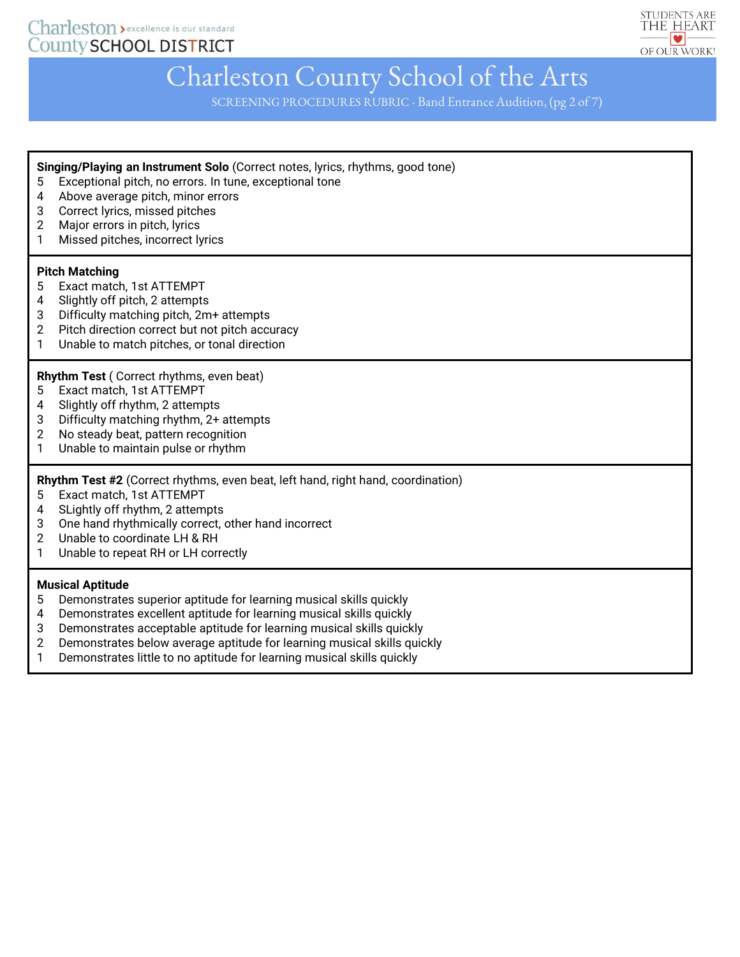Charleston > excellence is our standard **County SCHOOL DISTRICT** 



# Charleston County School of the Arts

SCREENING PROCEDURES RUBRIC - Band Entrance Audition, (pg 2 of 7)

**Singing/Playing an Instrument Solo** (Correct notes, lyrics, rhythms, good tone)

- 5 Exceptional pitch, no errors. In tune, exceptional tone
- 4 Above average pitch, minor errors
- 3 Correct lyrics, missed pitches
- 2 Major errors in pitch, lyrics
- 1 Missed pitches, incorrect lyrics

#### **Pitch Matching**

- 5 Exact match, 1st ATTEMPT
- 4 Slightly off pitch, 2 attempts
- 3 Difficulty matching pitch, 2m+ attempts
- 2 Pitch direction correct but not pitch accuracy
- 1 Unable to match pitches, or tonal direction

#### **Rhythm Test** ( Correct rhythms, even beat)

- 5 Exact match, 1st ATTEMPT
- 4 Slightly off rhythm, 2 attempts
- 3 Difficulty matching rhythm, 2+ attempts
- 2 No steady beat, pattern recognition
- 1 Unable to maintain pulse or rhythm

**Rhythm Test #2** (Correct rhythms, even beat, left hand, right hand, coordination)

- 5 Exact match, 1st ATTEMPT
- 4 SLightly off rhythm, 2 attempts
- 3 One hand rhythmically correct, other hand incorrect
- 2 Unable to coordinate LH & RH
- 1 Unable to repeat RH or LH correctly

#### **Musical Aptitude**

- 5 Demonstrates superior aptitude for learning musical skills quickly
- 4 Demonstrates excellent aptitude for learning musical skills quickly
- 3 Demonstrates acceptable aptitude for learning musical skills quickly
- 2 Demonstrates below average aptitude for learning musical skills quickly
- 1 Demonstrates little to no aptitude for learning musical skills quickly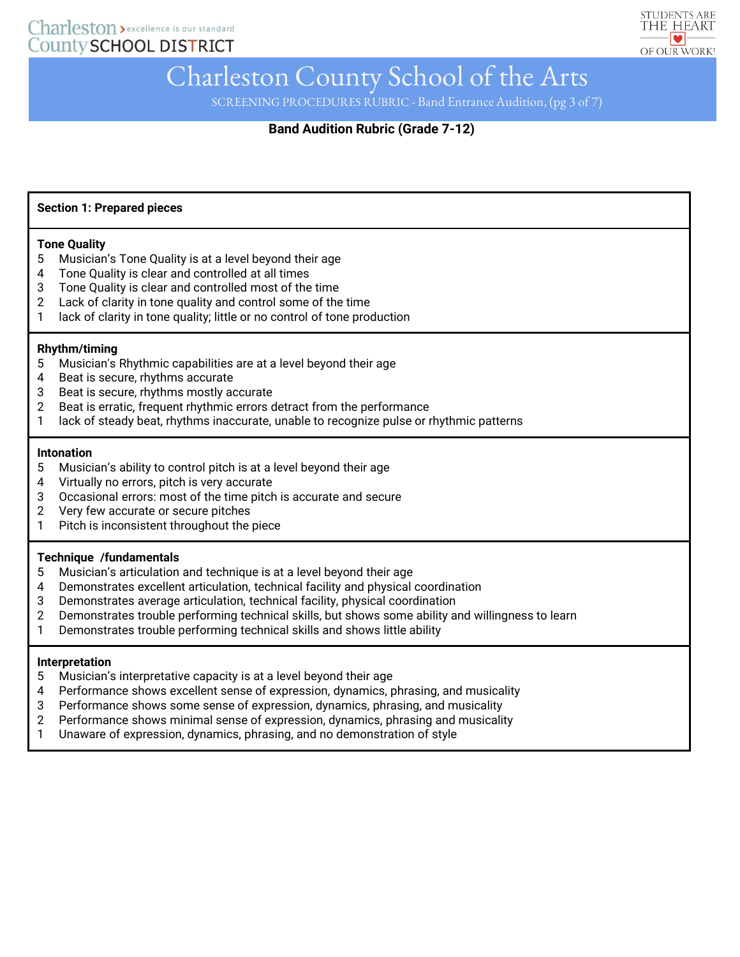

SCREENING PROCEDURES RUBRIC - Band Entrance Audition, (pg 3 of 7)

# **Band Audition Rubric (Grade 7-12)**

#### **Section 1: Prepared pieces**

#### **Tone Quality**

- 5 Musician's Tone Quality is at a level beyond their age
- 4 Tone Quality is clear and controlled at all times
- 3 Tone Quality is clear and controlled most of the time
- 2 Lack of clarity in tone quality and control some of the time
- 1 lack of clarity in tone quality; little or no control of tone production

#### **Rhythm/timing**

- 5 Musician's Rhythmic capabilities are at a level beyond their age
- 4 Beat is secure, rhythms accurate
- 3 Beat is secure, rhythms mostly accurate
- 2 Beat is erratic, frequent rhythmic errors detract from the performance
- 1 lack of steady beat, rhythms inaccurate, unable to recognize pulse or rhythmic patterns

#### **Intonation**

- 5 Musician's ability to control pitch is at a level beyond their age
- 4 Virtually no errors, pitch is very accurate
- 3 Occasional errors: most of the time pitch is accurate and secure
- 2 Very few accurate or secure pitches
- 1 Pitch is inconsistent throughout the piece

#### **Technique /fundamentals**

- 5 Musician's articulation and technique is at a level beyond their age
- 4 Demonstrates excellent articulation, technical facility and physical coordination
- 3 Demonstrates average articulation, technical facility, physical coordination
- 2 Demonstrates trouble performing technical skills, but shows some ability and willingness to learn
- 1 Demonstrates trouble performing technical skills and shows little ability

#### **Interpretation**

- 5 Musician's interpretative capacity is at a level beyond their age
- 4 Performance shows excellent sense of expression, dynamics, phrasing, and musicality
- 3 Performance shows some sense of expression, dynamics, phrasing, and musicality
- 2 Performance shows minimal sense of expression, dynamics, phrasing and musicality
- 1 Unaware of expression, dynamics, phrasing, and no demonstration of style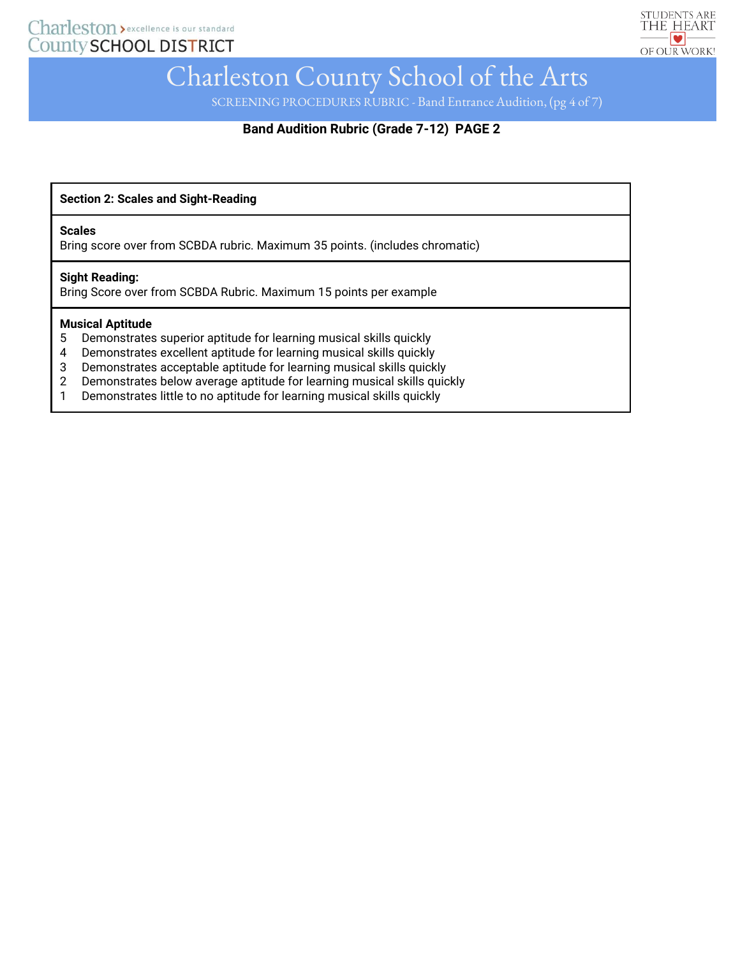

SCREENING PROCEDURES RUBRIC - Band Entrance Audition, (pg 4 of 7)

# **Band Audition Rubric (Grade 7-12) PAGE 2**

**Section 2: Scales and Sight-Reading**

#### **Scales**

Bring score over from SCBDA rubric. Maximum 35 points. (includes chromatic)

#### **Sight Reading:**

Bring Score over from SCBDA Rubric. Maximum 15 points per example

#### **Musical Aptitude**

- 5 Demonstrates superior aptitude for learning musical skills quickly
- 4 Demonstrates excellent aptitude for learning musical skills quickly
- 3 Demonstrates acceptable aptitude for learning musical skills quickly
- 2 Demonstrates below average aptitude for learning musical skills quickly
- 1 Demonstrates little to no aptitude for learning musical skills quickly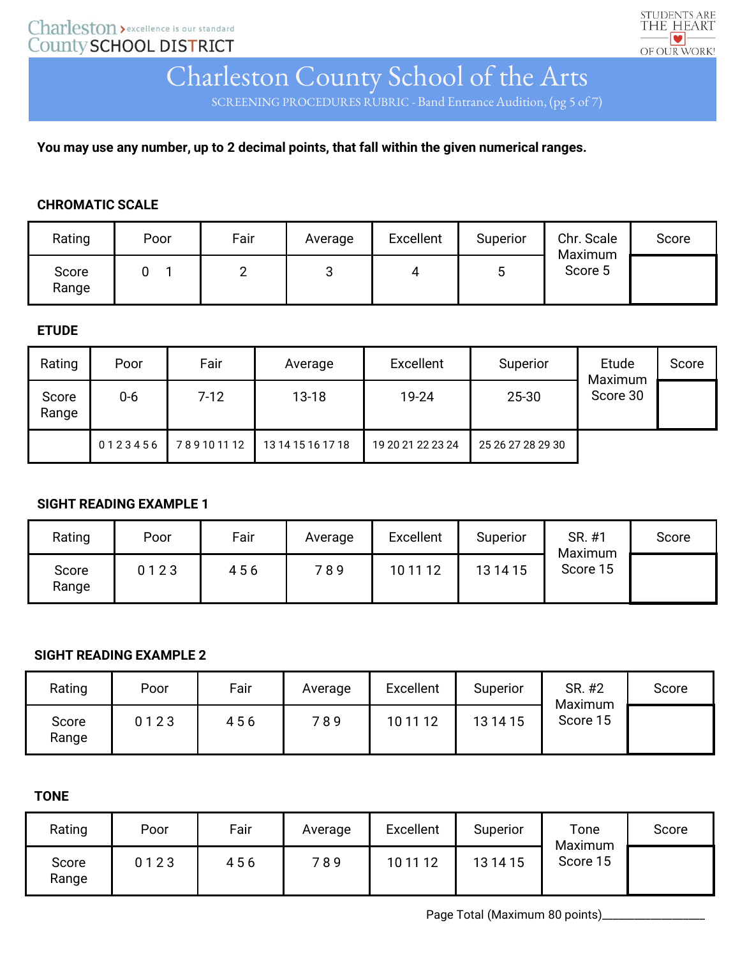

SCREENING PROCEDURES RUBRIC - Band Entrance Audition, (pg 5 of 7)

**You may use any number, up to 2 decimal points, that fall within the given numerical ranges.**

## **CHROMATIC SCALE**

| Rating         | Poor | Fair | Average | Excellent | Superior | Chr. Scale<br>Maximum | Score |
|----------------|------|------|---------|-----------|----------|-----------------------|-------|
| Score<br>Range |      |      | ◠<br>J  | 4         |          | Score 5               |       |

# **ETUDE**

| Rating         | Poor    | Fair      | Average           | Excellent         | Superior          | Etude<br>Maximum | Score |
|----------------|---------|-----------|-------------------|-------------------|-------------------|------------------|-------|
| Score<br>Range | $0-6$   | $7-12$    | $13 - 18$         | 19-24             | $25 - 30$         | Score 30         |       |
|                | 0123456 | 789101112 | 13 14 15 16 17 18 | 19 20 21 22 23 24 | 25 26 27 28 29 30 |                  |       |

# **SIGHT READING EXAMPLE 1**

| Rating         | Poor | Fair | Average | <b>Excellent</b> | Superior | SR. #1<br>Maximum | Score |
|----------------|------|------|---------|------------------|----------|-------------------|-------|
| Score<br>Range | 0123 | 456  | 789     | 10 11 12         | 13 14 15 | Score 15          |       |

# **SIGHT READING EXAMPLE 2**

| Rating         | Poor | Fair | Average | Excellent | Superior | SR. #2<br>Maximum | Score |
|----------------|------|------|---------|-----------|----------|-------------------|-------|
| Score<br>Range | 0123 | 456  | 789     | 10 11 12  | 13 14 15 | Score 15          |       |

# **TONE**

| Rating         | Poor | Fair | Average | Excellent | Superior | Tone<br>Maximum | Score |
|----------------|------|------|---------|-----------|----------|-----------------|-------|
| Score<br>Range | 0123 | 456  | 789     | 10 11 12  | 13 14 15 | Score 15        |       |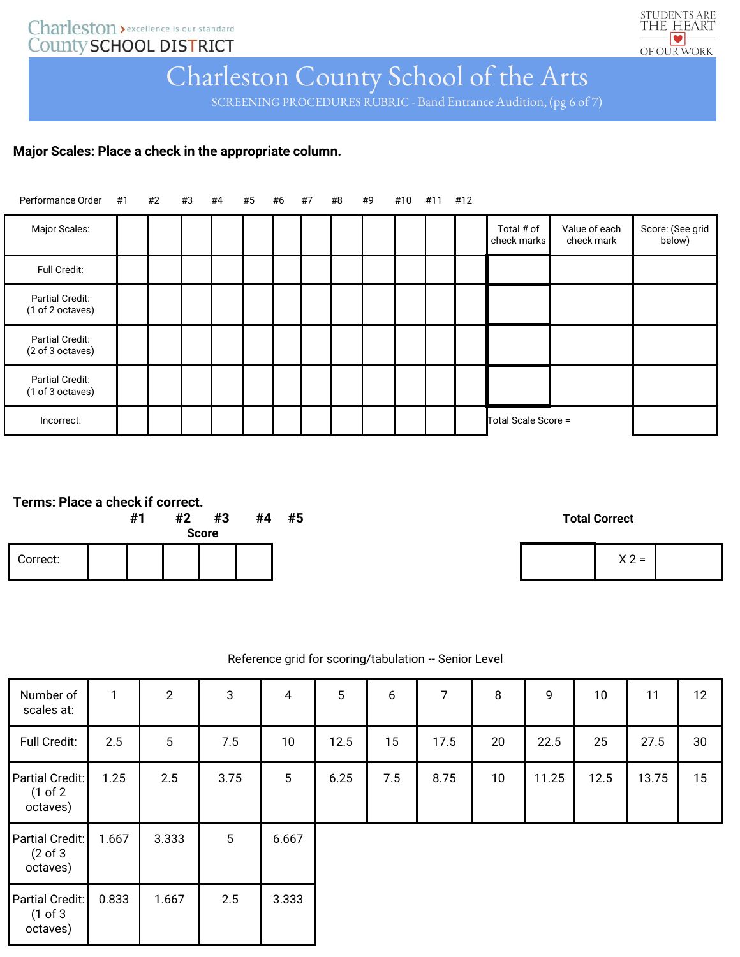# Charleston > excellence is our standard<br>County SCHOOL DISTRICT



# Charleston County School of the Arts

SCREENING PROCEDURES RUBRIC - Band Entrance Audition, (pg 6 of 7)

# **Major Scales: Place a check in the appropriate column.**

| Performance Order #1 #2 #3 #4       |  |  | #5 | #6 #7 | #8 | #9 | #10 #11 #12 |                           |                             |                            |
|-------------------------------------|--|--|----|-------|----|----|-------------|---------------------------|-----------------------------|----------------------------|
| Major Scales:                       |  |  |    |       |    |    |             | Total # of<br>check marks | Value of each<br>check mark | Score: (See grid<br>below) |
| Full Credit:                        |  |  |    |       |    |    |             |                           |                             |                            |
| Partial Credit:<br>(1 of 2 octaves) |  |  |    |       |    |    |             |                           |                             |                            |
| Partial Credit:<br>(2 of 3 octaves) |  |  |    |       |    |    |             |                           |                             |                            |
| Partial Credit:<br>(1 of 3 octaves) |  |  |    |       |    |    |             |                           |                             |                            |
| Incorrect:                          |  |  |    |       |    |    |             | Total Scale Score =       |                             |                            |

| c<br>$\mathbf{v}$<br>' =<br>$\overline{\phantom{0}}$ |  |
|------------------------------------------------------|--|
|                                                      |  |

## Reference grid for scoring/tabulation -- Senior Level

| Number of<br>scales at:                            | $\mathbf{1}$ | $\overline{2}$ | 3    | $\overline{4}$  | $5\phantom{.0}$ | 6   | 7    | 8  | 9     | 10 <sup>°</sup> | 11    | 12 |
|----------------------------------------------------|--------------|----------------|------|-----------------|-----------------|-----|------|----|-------|-----------------|-------|----|
| Full Credit:                                       | 2.5          | 5              | 7.5  | 10              | 12.5            | 15  | 17.5 | 20 | 22.5  | 25              | 27.5  | 30 |
| Partial Credit:<br>(1 of 2)<br>octaves)            | 1.25         | 2.5            | 3.75 | $5\phantom{.0}$ | 6.25            | 7.5 | 8.75 | 10 | 11.25 | 12.5            | 13.75 | 15 |
| Partial Credit:<br>$(2 \text{ of } 3)$<br>octaves) | 1.667        | 3.333          | 5    | 6.667           |                 |     |      |    |       |                 |       |    |
| Partial Credit:<br>(1 of 3)<br>octaves)            | 0.833        | 1.667          | 2.5  | 3.333           |                 |     |      |    |       |                 |       |    |